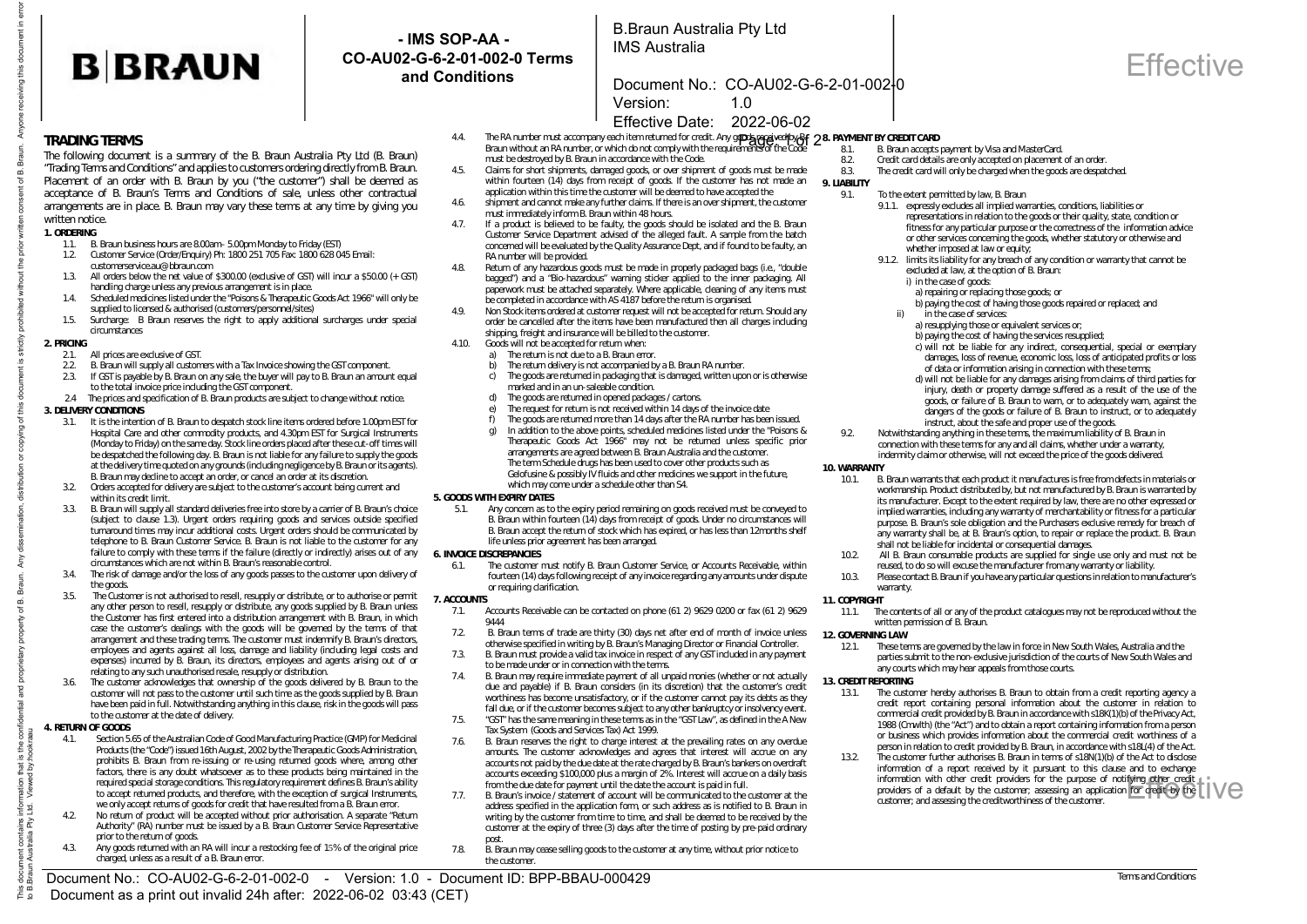# **B**BRAUN

The following document is a summary of the B. Braun Australia Pty Ltd (B. Braun) "Trading Terms and Conditions" and applies to customers ordering directly from B. Braun.

1.3. All orders below the net value of \$300.00 (exclusive of GST) will incur a \$50.00 (+ GST)

1.4. Scheduled medicines listed under the "Poisons & Therapeutic Goods Act 1966" will only be

1.5. Surcharge: B Braun reserves the right to apply additional surcharges under special

2.2. B. Braun will supply all customers with a Tax Invoice showing the GST component.<br>2.3. If GST is pavable by B. Braun on any sale, the buyer will pay to B. Braun an amour If GST is payable by B. Braun on any sale, the buyer will pay to B. Braun an amount equal

2.4 The prices and specification of B. Braun products are subject to change without notice.

3.1. It is the intention of B. Braun to despatch stock line items ordered before 1.00pm EST for Hospital Care and other commodity products, and 4.30pm EST for Surgical Instruments (Monday to Friday) on the same day. Stock line orders placed after these cut-off times will be despatched the following day. B. Braun is not liable for any failure to supply the goods at the delivery time quoted on any grounds (including negligence by B. Braun or its agents). B. Braun may decline to accept an order, or cancel an order at its discretion. 3.2. Orders accepted for delivery are subject to the customer's account being current and

3.3. B. Braun will supply all standard deliveries free into store by a carrier of B. Braun's choice (subject to clause 1.3). Urgent orders requiring goods and services outside specified turnaround times may incur additional costs. Urgent orders should be communicated by telephone to B. Braun Customer Service. B. Braun is not liable to the customer for any failure to comply with these terms if the failure (directly or indirectly) arises out of any

3.4. The risk of damage and/or the loss of any goods passes to the customer upon delivery of

3.5. The Customer is not authorised to resell, resupply or distribute, or to authorise or permit any other person to resell, resupply or distribute, any goods supplied by B. Braun unless the Customer has first entered into a distribution arrangement with B. Braun, in which case the customer's dealings with the goods will be governed by the terms of that arrangement and these trading terms. The customer must indemnify B. Braun's directors, employees and agents against all loss, damage and liability (including legal costs and expenses) incurred by B. Braun, its directors, employees and agents arising out of or

3.6. The customer acknowledges that ownership of the goods delivered by B. Braun to the customer will not pass to the customer until such time as the goods supplied by B. Braun have been paid in full. Notwithstanding anything in this clause, risk in the goods will pass

4.1. Section 5.65 of the Australian Code of Good Manufacturing Practice (GMP) for Medicinal Products (the "Code") issued 16th August, 2002 by the Therapeutic Goods Administration, prohibits B. Braun from re-issuing or re-using returned goods where, among other factors, there is any doubt whatsoever as to these products being maintained in the required special storage conditions. This regulatory requirement defines B. Braun's ability to accept returned products, and therefore, with the exception of surgical Instruments, we only accept returns of goods for credit that have resulted from a B. Braun error. 4.2. No return of product will be accepted without prior authorisation. A separate "Return Authority" (RA) number must be issued by a B. Braun Customer Service Representative

4.3. Any goods returned with an RA will incur a restocking fee of 15% of the original price

circumstances which are not within B. Braun's reasonable control.

relating to any such unauthorised resale, resupply or distribution.

to the customer at the date of delivery.

prior to the return of goods.

charged, unless as a result of a B. Braun error.

1.1. B. Braun business hours are 8.00am– 5.00pm Monday to Friday (EST) 1.2. Customer Service (Order/Enquiry) Ph: 1800 251 705 Fax: 1800 628 045 Email:

handling charge unless any previous arrangement is in place.

supplied to licensed & authorised (customers/personnel/sites)

to the total invoice price including the GST component.

customerservice.au@bbraun.com

### **- IMS SOP-AA - CO-AU02-G-6-2-01-002-0 Terms and Conditions**

B.Braun Australia Pty Ltd IMS Australia

### Document No.: CO-AU02-G-6-2-01-002-0

Version: 1.0

### Effective Date: 2022-06-02

- 4.4. The RA number must accompany each item returned for credit. Any g**oods received by B.F. 28. PAYMENT BY CREDIT CARD**<br>Braun without an RA number, or which do not comply with the requirements of the Code **8.1. B. Braun a** 
	- must be destroyed by B. Braun in accordance with the Code. 4.5. Claims for short shipments, damaged goods, or over shipment of goods must be made within fourteen (14) days from receipt of goods. If the customer has not made an **9. LIABILITY**
- application within this time the customer will be deemed to have accepted the 4.6. shipment and cannot make any further claims. If there is an over shipment, the customer must immediately inform B. Braun within 48 hours
- 4.7. If a product is believed to be faulty, the goods should be isolated and the B. Braun Customer Service Department advised of the alleged fault. A sample from the batch concerned will be evaluated by the Quality Assurance Dept, and if found to be faulty, an RA number will be provided.
- Return of any hazardous goods must be made in properly packaged bags (i.e., "double bagged") and a "Bio-hazardous" warning sticker applied to the inner packaging. All paperwork must be attached separately. Where applicable, cleaning of any items must be completed in accordance with AS 4187 before the return is organised.
- 4.9. Non Stock items ordered at customer request will not be accepted for return. Should any order be cancelled after the items have been manufactured then all charges including shipping, freight and insurance will be billed to the customer.
- 4.10. Goods will not be accepted for return when:
	- a) The return is not due to a B. Braun error.<br>b) The return delivery is not accompanied b
	-
	- b) The return delivery is not accompanied by a B. Braun RA number.<br>  $\therefore$  The goods are returned in packaging that is damaged written uno The goods are returned in packaging that is damaged, written upon or is otherwise marked and in an un-saleable condition.
	- d) The goods are returned in opened packages / cartons.<br>a) The request for return is not received within 14 days
	- e) The request for return is not received within 14 days of the invoice date for the goods are returned more than 14 days after the RA number has been
	- f) The goods are returned more than 14 days after the RA number has been issued.<br>a) In addition to the above points, scheduled medicines listed under the "Poisons
	- In addition to the above points, scheduled medicines listed under the "Poisons & Therapeutic Goods Act 1966" may not be returned unless specific prior arrangements are agreed between B. Braun Australia and the customer. The term Schedule drugs has been used to cover other products such as Gelofusine & possibly IV fluids and other medicines we support in the future, which may come under a schedule other than S4.

#### **5. GOODS WITH EXPIRY DATES**

5.1. Any concern as to the expiry period remaining on goods received must be conveyed to B. Braun within fourteen (14) days from receipt of goods. Under no circumstances will B. Braun accept the return of stock which has expired, or has less than 12months shelf life unless prior agreement has been arranged.

#### **6. INVOICE DISCREPANCIES**

6.1. The customer must notify B. Braun Customer Service, or Accounts Receivable, within fourteen (14) days following receipt of any invoice regarding any amounts under dispute or requiring clarification.

#### **7. ACCOUNTS**

- 7.1. Accounts Receivable can be contacted on phone (61 2) 9629 0200 or fax (61 2) 9629
- 9444 7.2. B. Braun terms of trade are thirty (30) days net after end of month of invoice unless otherwise specified in writing by B. Braun's Managing Director or Financial Controller.
- 7.3. B. Braun must provide a valid tax invoice in respect of any GST included in any payment to be made under or in connection with the terms.
- 7.4. B. Braun may require immediate payment of all unpaid monies (whether or not actually due and payable) if B. Braun considers (in its discretion) that the customer's credit worthiness has become unsatisfactory, or if the customer cannot pay its debts as they fall due, or if the customer becomes subject to any other bankruptcy or insolvency event.
- 7.5. "GST" has the same meaning in these terms as in the "GST Law", as defined in the A New Tax System (Goods and Services Tax) Act 1999.
- 7.6. B. Braun reserves the right to charge interest at the prevailing rates on any overdue amounts. The customer acknowledges and agrees that interest will accrue on any accounts not paid by the due date at the rate charged by B. Braun's bankers on overdraft accounts exceeding \$100,000 plus a margin of 2%. Interest will accrue on a daily basis from the due date for payment until the date the account is paid in full.
- 7.7. B. Braun's invoice / statement of account will be communicated to the customer at the address specified in the application form, or such address as is notified to B. Braun in writing by the customer from time to time, and shall be deemed to be received by the customer at the expiry of three (3) days after the time of posting by pre-paid ordinary post.
- 7.8. B. Braun may cease selling goods to the customer at any time, without prior notice to the custome
- - 8.1. B. Braun accepts payment by Visa and MasterCard.<br>8.2. Credit card details are only accepted on placement
	- 8.2. Credit card details are only accepted on placement of an order.<br>8.3. The credit card will only be charged when the goods are despati
	- The credit card will only be charged when the goods are despatched.

9.1. To the extent permitted by law, B. Braun

- 9.1.1. expressly excludes all implied warranties, conditions, liabilities or representations in relation to the goods or their quality, state, condition or fitness for any particular purpose or the correctness of the information advice or other services concerning the goods, whether statutory or otherwise and whether imposed at law or equity;
- 9.1.2. limits its liability for any breach of any condition or warranty that cannot be excluded at law, at the option of B. Braun: i) in the case of goods:
	- a) repairing or replacing those goods; or
	- b) paying the cost of having those goods repaired or replaced; and
	- ii) in the case of services:
	- a) resupplying those or equivalent services or:
	- b) paying the cost of having the services resupplied;
	- c) will not be liable for any indirect, consequential, special or exemplary damages, loss of revenue, economic loss, loss of anticipated profits or loss of data or information arising in connection with these terms;
	- d) will not be liable for any damages arising from claims of third parties for injury, death or property damage suffered as a result of the use of the goods, or failure of B. Braun to warn, or to adequately warn, against the dangers of the goods or failure of B. Braun to instruct, or to adequately instruct, about the safe and proper use of the goods.
- 9.2. Notwithstanding anything in these terms, the maximum liability of B. Braun in connection with these terms for any and all claims, whether under a warranty, indemnity claim or otherwise, will not exceed the price of the goods delivered.

**10. WARRANTY** 

- B. Braun warrants that each product it manufactures is free from defects in materials or workmanship. Product distributed by, but not manufactured by B. Braun is warranted by its manufacturer. Except to the extent required by law, there are no other expressed or implied warranties, including any warranty of merchantability or fitness for a particular purpose. B. Braun's sole obligation and the Purchasers exclusive remedy for breach of any warranty shall be, at B. Braun's option, to repair or replace the product. B. Braun shall not be liable for incidental or consequential damages.
- 10.2. All B. Braun consumable products are supplied for single use only and must not be reused, to do so will excuse the manufacturer from any warranty or liability.
- 10.3. Please contact B. Braun if you have any particular questions in relation to manufacturer's warranty.

### **11. COPYRIGHT**

11.1. The contents of all or any of the product catalogues may not be reproduced without the written permission of B. Braun.

#### **12. GOVERNING LAW**

12.1. These terms are governed by the law in force in New South Wales, Australia and the parties submit to the non-exclusive jurisdiction of the courts of New South Wales and any courts which may hear appeals from those courts.

### **13. CREDIT REPORTING**<br>13.1 The custor

- The customer hereby authorises B. Braun to obtain from a credit reporting agency a credit report containing personal information about the customer in relation to commercial credit provided by B. Braun in accordance with s18K(1)(b) of the Privacy Act, 1988 (Cmwlth) (the "Act") and to obtain a report containing information from a person or business which provides information about the commercial credit worthiness of a person in relation to credit provided by B. Braun, in accordance with s18L(4) of the Act.
- 13.2. The customer further authorises B. Braun in terms of s18N(1)(b) of the Act to disclose information of a report received by it pursuant to this clause and to exchange information with other credit providers for the purpose of notifying other credit information with other credit providers for the purpose of notify<del>ing other</del> credit<br>providers of a default by the customer; assessing an application f<del>or credit by</del> the **[|**]<br>customer; and assessing the creditworthiness of customer; and assessing the creditworthiness of the customer.

## **Effective**

 $\frac{1}{2}$ 



circumstances

**3. DELIVERY CONDITIONS** 

2.1. All prices are exclusive of GST.<br>2.2. B. Braun will supply all custom

within its credit limit.

the goods.

**4. RETURN OF GOODS** 

**TRADING TERMS** 

written notice **1. ORDERING** 

eceiving this document in

**2. PRICING**